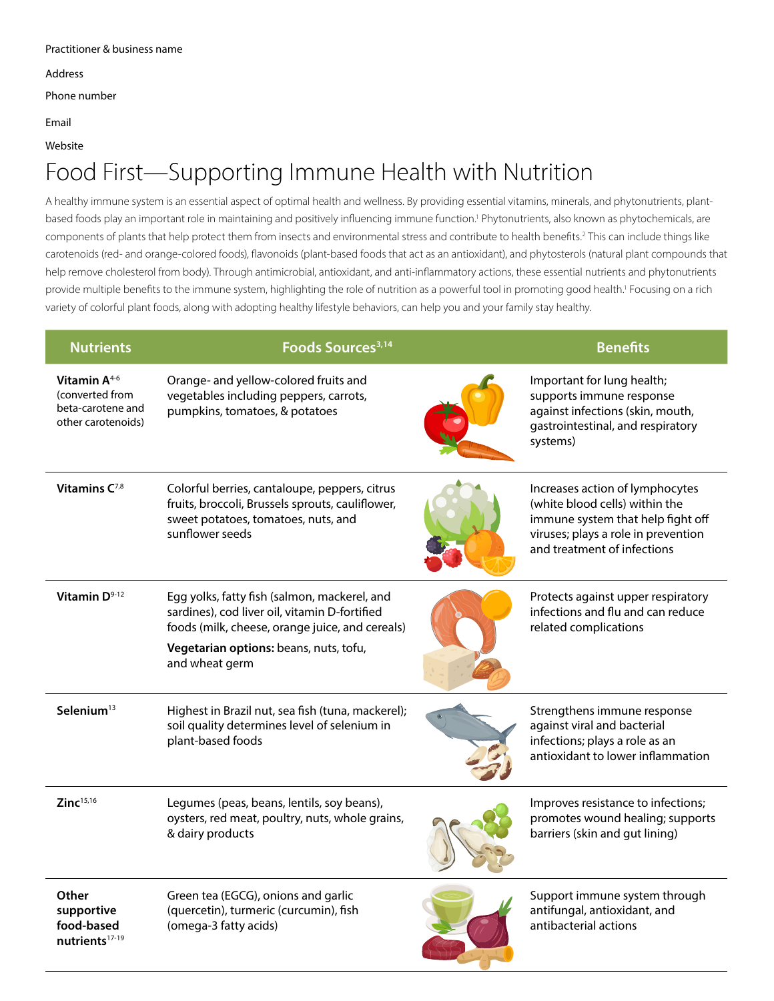Address

Phone number

Email

Website

# Food First—Supporting Immune Health with Nutrition

A healthy immune system is an essential aspect of optimal health and wellness. By providing essential vitamins, minerals, and phytonutrients, plantbased foods play an important role in maintaining and positively influencing immune function.1 Phytonutrients, also known as phytochemicals, are components of plants that help protect them from insects and environmental stress and contribute to health benefits.<sup>2</sup> This can include things like carotenoids (red- and orange-colored foods), flavonoids (plant-based foods that act as an antioxidant), and phytosterols (natural plant compounds that help remove cholesterol from body). Through antimicrobial, antioxidant, and anti-inflammatory actions, these essential nutrients and phytonutrients provide multiple benefits to the immune system, highlighting the role of nutrition as a powerful tool in promoting good health.<sup>1</sup> Focusing on a rich variety of colorful plant foods, along with adopting healthy lifestyle behaviors, can help you and your family stay healthy.

| <b>Nutrients</b>                                                                | Foods Sources <sup>3,14</sup>                                                                                                                                                                                | <b>Benefits</b>                                                                                                                                                              |
|---------------------------------------------------------------------------------|--------------------------------------------------------------------------------------------------------------------------------------------------------------------------------------------------------------|------------------------------------------------------------------------------------------------------------------------------------------------------------------------------|
| Vitamin $A^{4-6}$<br>(converted from<br>beta-carotene and<br>other carotenoids) | Orange- and yellow-colored fruits and<br>vegetables including peppers, carrots,<br>pumpkins, tomatoes, & potatoes                                                                                            | Important for lung health;<br>supports immune response<br>against infections (skin, mouth,<br>gastrointestinal, and respiratory<br>systems)                                  |
| Vitamins $C^{7,8}$                                                              | Colorful berries, cantaloupe, peppers, citrus<br>fruits, broccoli, Brussels sprouts, cauliflower,<br>sweet potatoes, tomatoes, nuts, and<br>sunflower seeds                                                  | Increases action of lymphocytes<br>(white blood cells) within the<br>immune system that help fight off<br>viruses; plays a role in prevention<br>and treatment of infections |
| Vitamin D <sup>9-12</sup>                                                       | Egg yolks, fatty fish (salmon, mackerel, and<br>sardines), cod liver oil, vitamin D-fortified<br>foods (milk, cheese, orange juice, and cereals)<br>Vegetarian options: beans, nuts, tofu,<br>and wheat germ | Protects against upper respiratory<br>infections and flu and can reduce<br>related complications                                                                             |
| Selenium <sup>13</sup>                                                          | Highest in Brazil nut, sea fish (tuna, mackerel);<br>soil quality determines level of selenium in<br>plant-based foods                                                                                       | Strengthens immune response<br>against viral and bacterial<br>infections; plays a role as an<br>antioxidant to lower inflammation                                            |
| Zinc $^{15,16}$                                                                 | Legumes (peas, beans, lentils, soy beans),<br>oysters, red meat, poultry, nuts, whole grains,<br>& dairy products                                                                                            | Improves resistance to infections;<br>promotes wound healing; supports<br>barriers (skin and gut lining)                                                                     |
| Other<br>supportive<br>food-based<br>nutrients <sup>17-19</sup>                 | Green tea (EGCG), onions and garlic<br>(quercetin), turmeric (curcumin), fish<br>(omega-3 fatty acids)                                                                                                       | Support immune system through<br>antifungal, antioxidant, and<br>antibacterial actions                                                                                       |